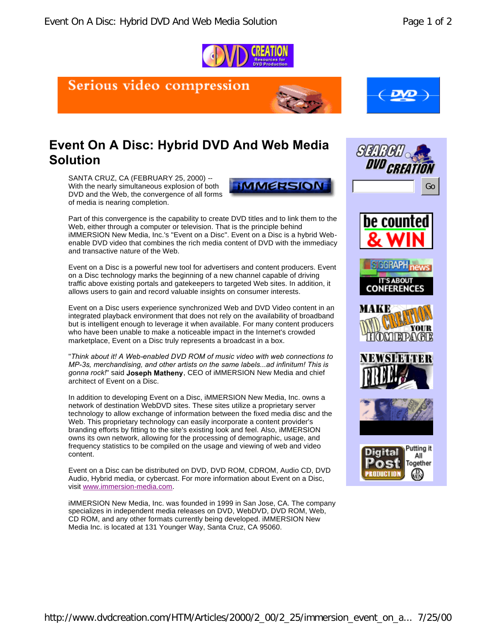

## Serious video compression





## **Event On A Disc: Hybrid DVD And Web Media Solution**

SANTA CRUZ, CA (FEBRUARY 25, 2000) -- With the nearly simultaneous explosion of both DVD and the Web, the convergence of all forms of media is nearing completion.



Part of this convergence is the capability to create DVD titles and to link them to the Web, either through a computer or television. That is the principle behind iMMERSION New Media, Inc.'s "Event on a Disc". Event on a Disc is a hybrid Webenable DVD video that combines the rich media content of DVD with the immediacy and transactive nature of the Web.

Event on a Disc is a powerful new tool for advertisers and content producers. Event on a Disc technology marks the beginning of a new channel capable of driving traffic above existing portals and gatekeepers to targeted Web sites. In addition, it allows users to gain and record valuable insights on consumer interests.

Event on a Disc users experience synchronized Web and DVD Video content in an integrated playback environment that does not rely on the availability of broadband but is intelligent enough to leverage it when available. For many content producers who have been unable to make a noticeable impact in the Internet's crowded marketplace, Event on a Disc truly represents a broadcast in a box.

"*Think about it! A Web-enabled DVD ROM of music video with web connections to MP-3s, merchandising, and other artists on the same labels...ad infinitum! This is gonna rock!*" said **Joseph Matheny**, CEO of iMMERSION New Media and chief architect of Event on a Disc.

In addition to developing Event on a Disc, iMMERSION New Media, Inc. owns a network of destination WebDVD sites. These sites utilize a proprietary server technology to allow exchange of information between the fixed media disc and the Web. This proprietary technology can easily incorporate a content provider's branding efforts by fitting to the site's existing look and feel. Also, iMMERSION owns its own network, allowing for the processing of demographic, usage, and frequency statistics to be compiled on the usage and viewing of web and video content.

Event on a Disc can be distributed on DVD, DVD ROM, CDROM, Audio CD, DVD Audio, Hybrid media, or cybercast. For more information about Event on a Disc, visit www.immersion-media.com.

iMMERSION New Media, Inc. was founded in 1999 in San Jose, CA. The company specializes in independent media releases on DVD, WebDVD, DVD ROM, Web, CD ROM, and any other formats currently being developed. iMMERSION New Media Inc. is located at 131 Younger Way, Santa Cruz, CA 95060.